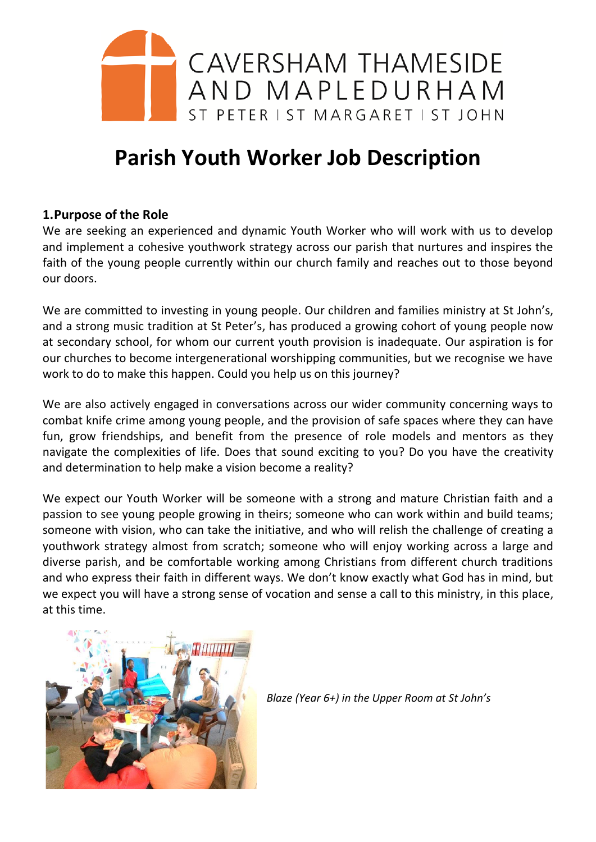

# **Parish Youth Worker Job Description**

# **1.Purpose of the Role**

We are seeking an experienced and dynamic Youth Worker who will work with us to develop and implement a cohesive youthwork strategy across our parish that nurtures and inspires the faith of the young people currently within our church family and reaches out to those beyond our doors.

We are committed to investing in young people. Our children and families ministry at St John's, and a strong music tradition at St Peter's, has produced a growing cohort of young people now at secondary school, for whom our current youth provision is inadequate. Our aspiration is for our churches to become intergenerational worshipping communities, but we recognise we have work to do to make this happen. Could you help us on this journey?

We are also actively engaged in conversations across our wider community concerning ways to combat knife crime among young people, and the provision of safe spaces where they can have fun, grow friendships, and benefit from the presence of role models and mentors as they navigate the complexities of life. Does that sound exciting to you? Do you have the creativity and determination to help make a vision become a reality?

We expect our Youth Worker will be someone with a strong and mature Christian faith and a passion to see young people growing in theirs; someone who can work within and build teams; someone with vision, who can take the initiative, and who will relish the challenge of creating a youthwork strategy almost from scratch; someone who will enjoy working across a large and diverse parish, and be comfortable working among Christians from different church traditions and who express their faith in different ways. We don't know exactly what God has in mind, but we expect you will have a strong sense of vocation and sense a call to this ministry, in this place, at this time.



*Blaze (Year 6+) in the Upper Room at St John's*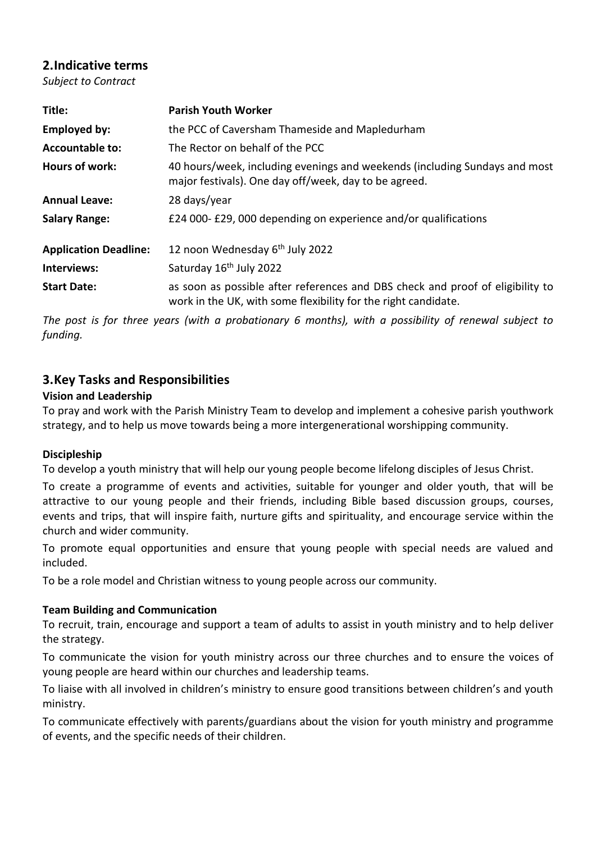# **2.Indicative terms**

*Subject to Contract*

| Title:                       | <b>Parish Youth Worker</b>                                                                                                                       |
|------------------------------|--------------------------------------------------------------------------------------------------------------------------------------------------|
| <b>Employed by:</b>          | the PCC of Caversham Thameside and Mapledurham                                                                                                   |
| <b>Accountable to:</b>       | The Rector on behalf of the PCC                                                                                                                  |
| <b>Hours of work:</b>        | 40 hours/week, including evenings and weekends (including Sundays and most<br>major festivals). One day off/week, day to be agreed.              |
| <b>Annual Leave:</b>         | 28 days/year                                                                                                                                     |
| <b>Salary Range:</b>         | £24 000-£29,000 depending on experience and/or qualifications                                                                                    |
| <b>Application Deadline:</b> | 12 noon Wednesday 6 <sup>th</sup> July 2022                                                                                                      |
| Interviews:                  | Saturday 16 <sup>th</sup> July 2022                                                                                                              |
| <b>Start Date:</b>           | as soon as possible after references and DBS check and proof of eligibility to<br>work in the UK, with some flexibility for the right candidate. |

*The post is for three years (with a probationary 6 months), with a possibility of renewal subject to funding.*

# **3.Key Tasks and Responsibilities**

## **Vision and Leadership**

To pray and work with the Parish Ministry Team to develop and implement a cohesive parish youthwork strategy, and to help us move towards being a more intergenerational worshipping community.

## **Discipleship**

To develop a youth ministry that will help our young people become lifelong disciples of Jesus Christ.

To create a programme of events and activities, suitable for younger and older youth, that will be attractive to our young people and their friends, including Bible based discussion groups, courses, events and trips, that will inspire faith, nurture gifts and spirituality, and encourage service within the church and wider community.

To promote equal opportunities and ensure that young people with special needs are valued and included.

To be a role model and Christian witness to young people across our community.

#### **Team Building and Communication**

To recruit, train, encourage and support a team of adults to assist in youth ministry and to help deliver the strategy.

To communicate the vision for youth ministry across our three churches and to ensure the voices of young people are heard within our churches and leadership teams.

To liaise with all involved in children's ministry to ensure good transitions between children's and youth ministry.

To communicate effectively with parents/guardians about the vision for youth ministry and programme of events, and the specific needs of their children.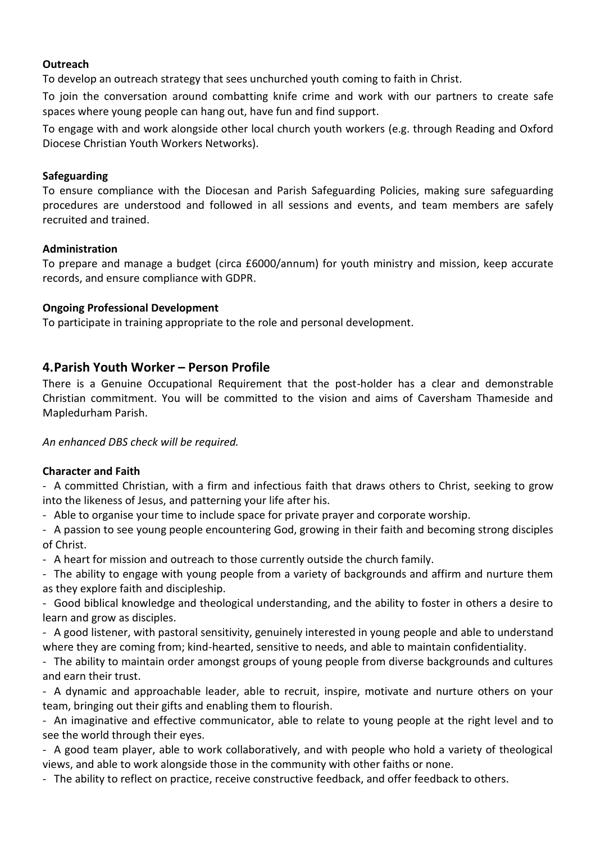#### **Outreach**

To develop an outreach strategy that sees unchurched youth coming to faith in Christ.

To join the conversation around combatting knife crime and work with our partners to create safe spaces where young people can hang out, have fun and find support.

To engage with and work alongside other local church youth workers (e.g. through Reading and Oxford Diocese Christian Youth Workers Networks).

#### **Safeguarding**

To ensure compliance with the Diocesan and Parish Safeguarding Policies, making sure safeguarding procedures are understood and followed in all sessions and events, and team members are safely recruited and trained.

#### **Administration**

To prepare and manage a budget (circa £6000/annum) for youth ministry and mission, keep accurate records, and ensure compliance with GDPR.

#### **Ongoing Professional Development**

To participate in training appropriate to the role and personal development.

## **4.Parish Youth Worker – Person Profile**

There is a Genuine Occupational Requirement that the post-holder has a clear and demonstrable Christian commitment. You will be committed to the vision and aims of Caversham Thameside and Mapledurham Parish.

*An enhanced DBS check will be required.*

#### **Character and Faith**

- A committed Christian, with a firm and infectious faith that draws others to Christ, seeking to grow into the likeness of Jesus, and patterning your life after his.

- Able to organise your time to include space for private prayer and corporate worship.

- A passion to see young people encountering God, growing in their faith and becoming strong disciples of Christ.

- A heart for mission and outreach to those currently outside the church family.

- The ability to engage with young people from a variety of backgrounds and affirm and nurture them as they explore faith and discipleship.

- Good biblical knowledge and theological understanding, and the ability to foster in others a desire to learn and grow as disciples.

- A good listener, with pastoral sensitivity, genuinely interested in young people and able to understand where they are coming from; kind-hearted, sensitive to needs, and able to maintain confidentiality.

- The ability to maintain order amongst groups of young people from diverse backgrounds and cultures and earn their trust.

- A dynamic and approachable leader, able to recruit, inspire, motivate and nurture others on your team, bringing out their gifts and enabling them to flourish.

- An imaginative and effective communicator, able to relate to young people at the right level and to see the world through their eyes.

- A good team player, able to work collaboratively, and with people who hold a variety of theological views, and able to work alongside those in the community with other faiths or none.

- The ability to reflect on practice, receive constructive feedback, and offer feedback to others.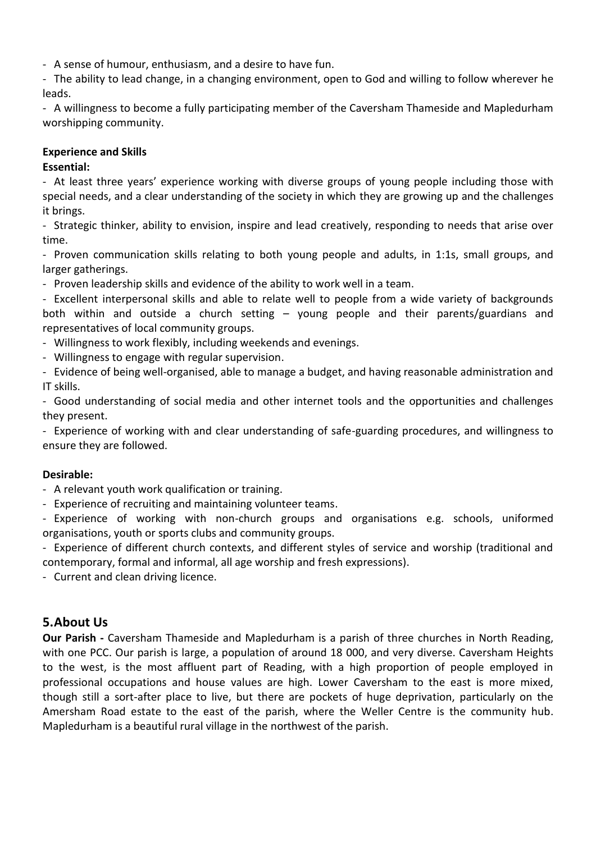- A sense of humour, enthusiasm, and a desire to have fun.

- The ability to lead change, in a changing environment, open to God and willing to follow wherever he leads.

- A willingness to become a fully participating member of the Caversham Thameside and Mapledurham worshipping community.

#### **Experience and Skills**

#### **Essential:**

- At least three years' experience working with diverse groups of young people including those with special needs, and a clear understanding of the society in which they are growing up and the challenges it brings.

- Strategic thinker, ability to envision, inspire and lead creatively, responding to needs that arise over time.

- Proven communication skills relating to both young people and adults, in 1:1s, small groups, and larger gatherings.

- Proven leadership skills and evidence of the ability to work well in a team.

- Excellent interpersonal skills and able to relate well to people from a wide variety of backgrounds both within and outside a church setting – young people and their parents/guardians and representatives of local community groups.

- Willingness to work flexibly, including weekends and evenings.

- Willingness to engage with regular supervision.

- Evidence of being well-organised, able to manage a budget, and having reasonable administration and IT skills.

- Good understanding of social media and other internet tools and the opportunities and challenges they present.

- Experience of working with and clear understanding of safe-guarding procedures, and willingness to ensure they are followed.

#### **Desirable:**

- A relevant youth work qualification or training.

- Experience of recruiting and maintaining volunteer teams.

- Experience of working with non-church groups and organisations e.g. schools, uniformed organisations, youth or sports clubs and community groups.

- Experience of different church contexts, and different styles of service and worship (traditional and contemporary, formal and informal, all age worship and fresh expressions).

- Current and clean driving licence.

## **5.About Us**

**Our Parish -** Caversham Thameside and Mapledurham is a parish of three churches in North Reading, with one PCC. Our parish is large, a population of around 18 000, and very diverse. Caversham Heights to the west, is the most affluent part of Reading, with a high proportion of people employed in professional occupations and house values are high. Lower Caversham to the east is more mixed, though still a sort-after place to live, but there are pockets of huge deprivation, particularly on the Amersham Road estate to the east of the parish, where the Weller Centre is the community hub. Mapledurham is a beautiful rural village in the northwest of the parish.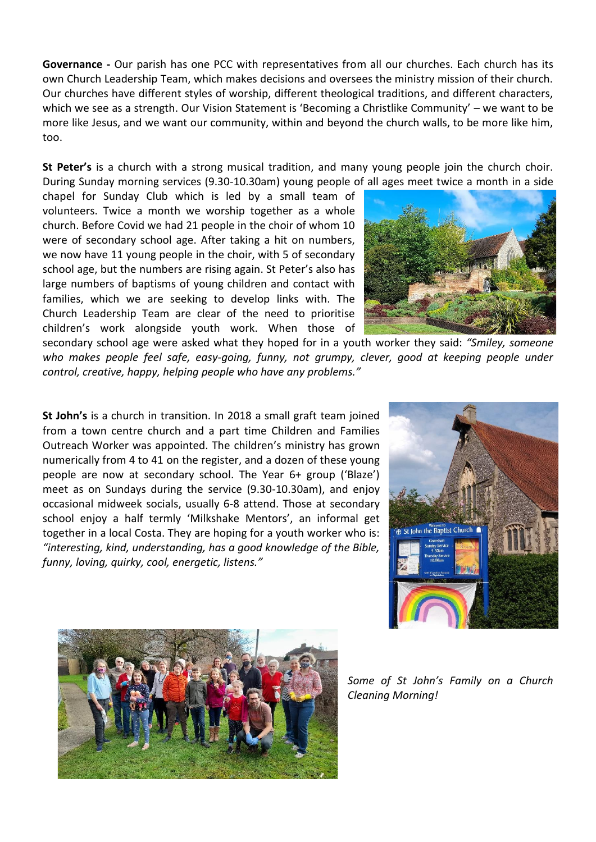**Governance -** Our parish has one PCC with representatives from all our churches. Each church has its own Church Leadership Team, which makes decisions and oversees the ministry mission of their church. Our churches have different styles of worship, different theological traditions, and different characters, which we see as a strength. Our Vision Statement is 'Becoming a Christlike Community' – we want to be more like Jesus, and we want our community, within and beyond the church walls, to be more like him, too.

**St Peter's** is a church with a strong musical tradition, and many young people join the church choir. During Sunday morning services (9.30-10.30am) young people of all ages meet twice a month in a side

chapel for Sunday Club which is led by a small team of volunteers. Twice a month we worship together as a whole church. Before Covid we had 21 people in the choir of whom 10 were of secondary school age. After taking a hit on numbers, we now have 11 young people in the choir, with 5 of secondary school age, but the numbers are rising again. St Peter's also has large numbers of baptisms of young children and contact with families, which we are seeking to develop links with. The Church Leadership Team are clear of the need to prioritise children's work alongside youth work. When those of



secondary school age were asked what they hoped for in a youth worker they said: *"Smiley, someone who makes people feel safe, easy-going, funny, not grumpy, clever, good at keeping people under control, creative, happy, helping people who have any problems."*

**St John's** is a church in transition. In 2018 a small graft team joined from a town centre church and a part time Children and Families Outreach Worker was appointed. The children's ministry has grown numerically from 4 to 41 on the register, and a dozen of these young people are now at secondary school. The Year 6+ group ('Blaze') meet as on Sundays during the service (9.30-10.30am), and enjoy occasional midweek socials, usually 6-8 attend. Those at secondary school enjoy a half termly 'Milkshake Mentors', an informal get together in a local Costa. They are hoping for a youth worker who is: *"interesting, kind, understanding, has a good knowledge of the Bible, funny, loving, quirky, cool, energetic, listens."*





*Some of St John's Family on a Church Cleaning Morning!*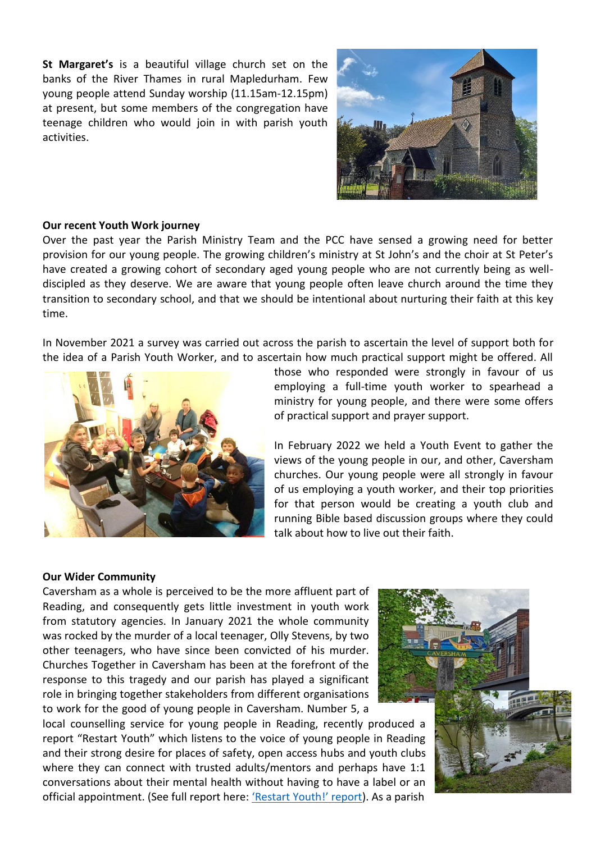**St Margaret's** is a beautiful village church set on the banks of the River Thames in rural Mapledurham. Few young people attend Sunday worship (11.15am-12.15pm) at present, but some members of the congregation have teenage children who would join in with parish youth activities.



#### **Our recent Youth Work journey**

Over the past year the Parish Ministry Team and the PCC have sensed a growing need for better provision for our young people. The growing children's ministry at St John's and the choir at St Peter's have created a growing cohort of secondary aged young people who are not currently being as welldiscipled as they deserve. We are aware that young people often leave church around the time they transition to secondary school, and that we should be intentional about nurturing their faith at this key time.

In November 2021 a survey was carried out across the parish to ascertain the level of support both for the idea of a Parish Youth Worker, and to ascertain how much practical support might be offered. All



those who responded were strongly in favour of us employing a full-time youth worker to spearhead a ministry for young people, and there were some offers of practical support and prayer support.

In February 2022 we held a Youth Event to gather the views of the young people in our, and other, Caversham churches. Our young people were all strongly in favour of us employing a youth worker, and their top priorities for that person would be creating a youth club and running Bible based discussion groups where they could talk about how to live out their faith.

#### **Our Wider Community**

Caversham as a whole is perceived to be the more affluent part of Reading, and consequently gets little investment in youth work from statutory agencies. In January 2021 the whole community was rocked by the murder of a local teenager, Olly Stevens, by two other teenagers, who have since been convicted of his murder. Churches Together in Caversham has been at the forefront of the response to this tragedy and our parish has played a significant role in bringing together stakeholders from different organisations to work for the good of young people in Caversham. Number 5, a

local counselling service for young people in Reading, recently produced a report "Restart Youth" which listens to the voice of young people in Reading and their strong desire for places of safety, open access hubs and youth clubs where they can connect with trusted adults/mentors and perhaps have 1:1 conversations about their mental health without having to have a label or an official appointment. (See full report here: ['Restart Youth!' report](https://no5.org.uk/wp-content/uploads/2022/01/No5-Young-People-Restart-Youth-report.pdf)). As a parish